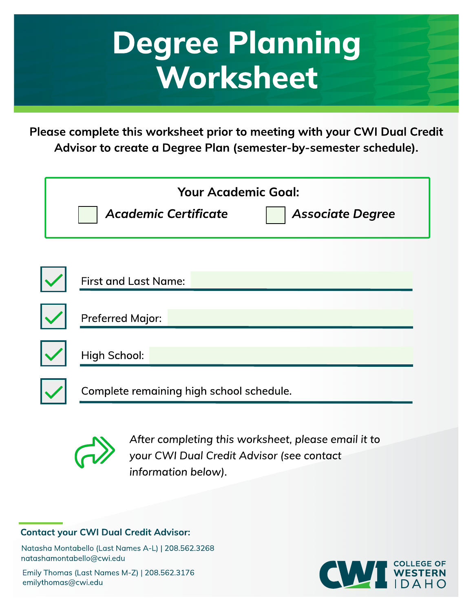## Degree Planning **Worksheet**

Please complete this worksheet prior to meeting with your CWI Dual Credit Advisor to create a Degree Plan (semester-by-semester schedule).

| <b>Your Academic Goal:</b><br><b>Academic Certificate</b><br><b>Associate Degree</b> |  |  |  |  |
|--------------------------------------------------------------------------------------|--|--|--|--|
| <b>First and Last Name:</b>                                                          |  |  |  |  |
| <b>Preferred Major:</b>                                                              |  |  |  |  |
| High School:                                                                         |  |  |  |  |
| Complete remaining high school schedule.                                             |  |  |  |  |



**After completing this worksheet, please email it to your CW I Dual Credit Advisor (see contact information below).**

## **Contact your CWI Dual Credit Advisor:**

Natasha Montabello (Last Names A-L) | 208.562.3268 natashamontabello@cw i.edu

Emily Thomas (Last Names M-Z) | 208.562.3176 emilythomas@cwi.edu

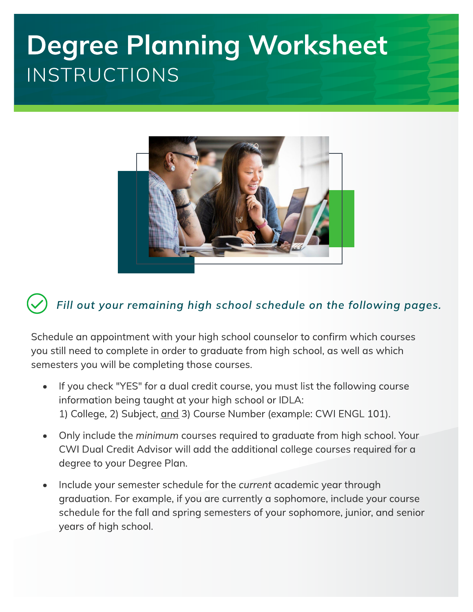## Degree Planning Worksheet INSTRUCTIONS



## **Fill out your remaining high school schedule on the follow ing pages.**

Schedule an appointment with your high school counselor to confirm which courses you still need to complete in order to graduate from high school, as well as which semesters you will be completing those courses.

- If you check "YES" for a dual credit course, you must list the following course information being taught at your high school or IDLA: 1) College, 2) Subject, and 3) Course Number (example: CWI ENGL 101).
- Only include the **minimum** courses required to graduate from high school. Your CWI Dual Credit Advisor will add the additional college courses required for a degree to your Degree Plan.
- Include your semester schedule for the **current** academic year through graduation. For example, if you are currently a sophomore, include your course schedule for the fall and spring semesters of your sophomore, junior, and senior years of high school.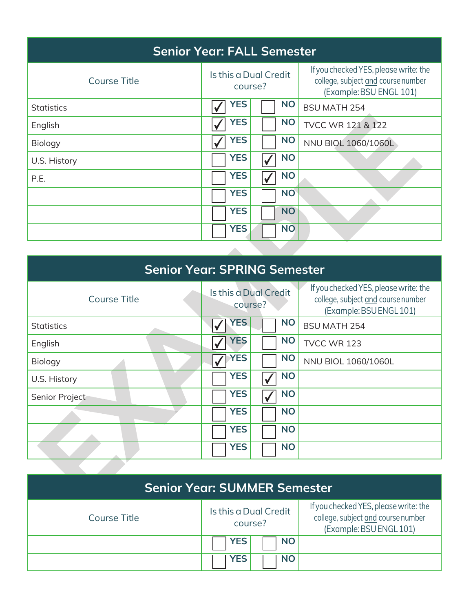| <b>Senior Year: FALL Semester</b> |                                  |                                                                                                        |  |  |
|-----------------------------------|----------------------------------|--------------------------------------------------------------------------------------------------------|--|--|
| <b>Course Title</b>               | Is this a Dual Credit<br>course? | If you checked YES, please write: the<br>college, subject and course number<br>(Example: BSU ENGL 101) |  |  |
| <b>Statistics</b>                 | <b>YES</b><br><b>NO</b>          | <b>BSU MATH 254</b>                                                                                    |  |  |
| English                           | <b>YES</b><br><b>NO</b>          | <b>TVCC WR 121 &amp; 122</b>                                                                           |  |  |
| Biology                           | <b>YES</b><br><b>NO</b>          | NNU BIOL 1060/1060L                                                                                    |  |  |
| U.S. History                      | <b>YES</b><br><b>NO</b>          |                                                                                                        |  |  |
| P.E.                              | <b>YES</b><br><b>NO</b>          |                                                                                                        |  |  |
|                                   | <b>YES</b><br><b>NO</b>          |                                                                                                        |  |  |
|                                   | <b>YES</b><br><b>NO</b>          |                                                                                                        |  |  |
|                                   | <b>YES</b><br><b>NO</b>          |                                                                                                        |  |  |
|                                   |                                  |                                                                                                        |  |  |

| <b>Senior Year: SPRING Semester</b> |                                  |           |                                                                                                        |  |
|-------------------------------------|----------------------------------|-----------|--------------------------------------------------------------------------------------------------------|--|
| <b>Course Title</b>                 | Is this a Dual Credit<br>course? |           | If you checked YES, please write: the<br>college, subject and course number<br>(Example: BSU ENGL 101) |  |
| <b>Statistics</b>                   | <b>YES</b>                       | <b>NO</b> | <b>BSU MATH 254</b>                                                                                    |  |
| English                             | <b>YES</b>                       | <b>NO</b> | TVCC WR 123                                                                                            |  |
| Biology                             | <b>YES</b>                       | <b>NO</b> | NNU BIOL 1060/1060L                                                                                    |  |
| U.S. History                        | <b>YES</b>                       | <b>NO</b> |                                                                                                        |  |
| Senior Project                      | <b>YES</b>                       | <b>NO</b> |                                                                                                        |  |
|                                     | <b>YES</b>                       | <b>NO</b> |                                                                                                        |  |
|                                     | <b>YES</b>                       | <b>NO</b> |                                                                                                        |  |
|                                     | <b>YES</b>                       | <b>NO</b> |                                                                                                        |  |
|                                     |                                  |           |                                                                                                        |  |

| <b>Senior Year: SUMMER Semester</b> |                                  |                                                                                                        |  |
|-------------------------------------|----------------------------------|--------------------------------------------------------------------------------------------------------|--|
| Course Title                        | Is this a Dual Credit<br>course? | If you checked YES, please write: the<br>college, subject and course number<br>(Example: BSU ENGL 101) |  |
|                                     | <b>YES</b><br><b>NO</b>          |                                                                                                        |  |
|                                     | <b>YES</b><br><b>NO</b>          |                                                                                                        |  |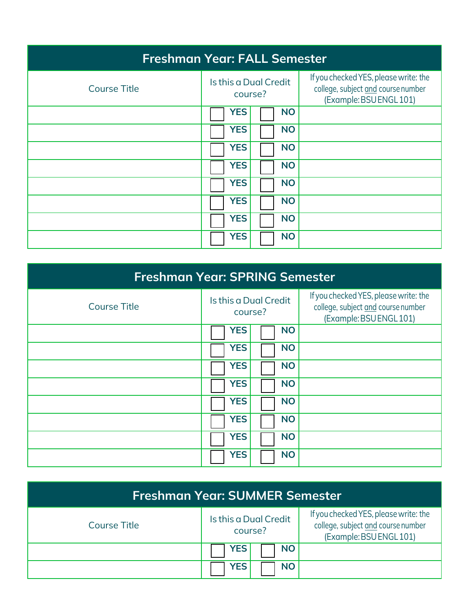| <b>Freshman Year: FALL Semester</b> |                                  |                                                                                                        |  |  |
|-------------------------------------|----------------------------------|--------------------------------------------------------------------------------------------------------|--|--|
| <b>Course Title</b>                 | Is this a Dual Credit<br>course? | If you checked YES, please write: the<br>college, subject and course number<br>(Example: BSU ENGL 101) |  |  |
|                                     | <b>YES</b><br><b>NO</b>          |                                                                                                        |  |  |
|                                     | <b>YES</b><br><b>NO</b>          |                                                                                                        |  |  |
|                                     | <b>YES</b><br><b>NO</b>          |                                                                                                        |  |  |
|                                     | <b>YES</b><br><b>NO</b>          |                                                                                                        |  |  |
|                                     | <b>YES</b><br><b>NO</b>          |                                                                                                        |  |  |
|                                     | <b>YES</b><br><b>NO</b>          |                                                                                                        |  |  |
|                                     | <b>YES</b><br><b>NO</b>          |                                                                                                        |  |  |
|                                     | <b>YES</b><br><b>NO</b>          |                                                                                                        |  |  |

| <b>Freshman Year: SPRING Semester</b> |                                  |                                                                                                        |  |
|---------------------------------------|----------------------------------|--------------------------------------------------------------------------------------------------------|--|
| <b>Course Title</b>                   | Is this a Dual Credit<br>course? | If you checked YES, please write: the<br>college, subject and course number<br>(Example: BSU ENGL 101) |  |
|                                       | <b>YES</b><br><b>NO</b>          |                                                                                                        |  |
|                                       | <b>YES</b><br><b>NO</b>          |                                                                                                        |  |
|                                       | <b>YES</b><br><b>NO</b>          |                                                                                                        |  |
|                                       | <b>YES</b><br><b>NO</b>          |                                                                                                        |  |
|                                       | <b>YES</b><br><b>NO</b>          |                                                                                                        |  |
|                                       | <b>YES</b><br><b>NO</b>          |                                                                                                        |  |
|                                       | <b>YES</b><br><b>NO</b>          |                                                                                                        |  |
|                                       | <b>YES</b><br><b>NO</b>          |                                                                                                        |  |

| Freshman Year: SUMMER Semester |                                  |                                                                                                        |  |
|--------------------------------|----------------------------------|--------------------------------------------------------------------------------------------------------|--|
| <b>Course Title</b>            | Is this a Dual Credit<br>course? | If you checked YES, please write: the<br>college, subject and course number<br>(Example: BSU ENGL 101) |  |
|                                | <b>YES</b><br><b>NO</b>          |                                                                                                        |  |
|                                | <b>YES</b><br><b>NO</b>          |                                                                                                        |  |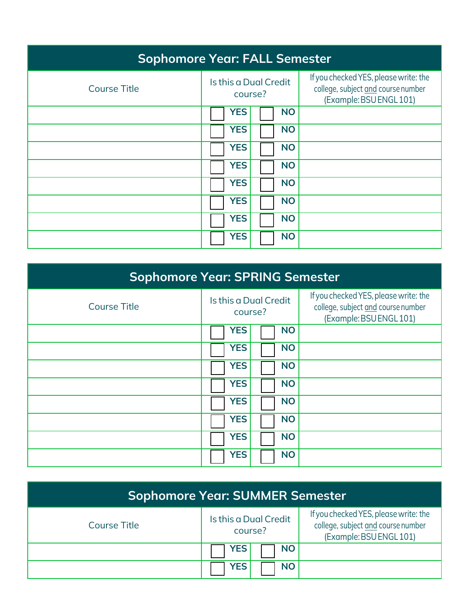| <b>Sophomore Year: FALL Semester</b> |                                  |                                                                                                        |  |  |
|--------------------------------------|----------------------------------|--------------------------------------------------------------------------------------------------------|--|--|
| <b>Course Title</b>                  | Is this a Dual Credit<br>course? | If you checked YES, please write: the<br>college, subject and course number<br>(Example: BSU ENGL 101) |  |  |
|                                      | <b>YES</b><br><b>NO</b>          |                                                                                                        |  |  |
|                                      | <b>YES</b><br><b>NO</b>          |                                                                                                        |  |  |
|                                      | <b>YES</b><br><b>NO</b>          |                                                                                                        |  |  |
|                                      | <b>YES</b><br><b>NO</b>          |                                                                                                        |  |  |
|                                      | <b>YES</b><br><b>NO</b>          |                                                                                                        |  |  |
|                                      | <b>YES</b><br><b>NO</b>          |                                                                                                        |  |  |
|                                      | <b>YES</b><br><b>NO</b>          |                                                                                                        |  |  |
|                                      | <b>YES</b><br><b>NO</b>          |                                                                                                        |  |  |

| <b>Sophomore Year: SPRING Semester</b> |                                  |                                                                                                        |  |
|----------------------------------------|----------------------------------|--------------------------------------------------------------------------------------------------------|--|
| <b>Course Title</b>                    | Is this a Dual Credit<br>course? | If you checked YES, please write: the<br>college, subject and course number<br>(Example: BSU ENGL 101) |  |
|                                        | <b>YES</b><br><b>NO</b>          |                                                                                                        |  |
|                                        | <b>YES</b><br><b>NO</b>          |                                                                                                        |  |
|                                        | <b>YES</b><br><b>NO</b>          |                                                                                                        |  |
|                                        | <b>YES</b><br><b>NO</b>          |                                                                                                        |  |
|                                        | <b>YES</b><br><b>NO</b>          |                                                                                                        |  |
|                                        | <b>YES</b><br><b>NO</b>          |                                                                                                        |  |
|                                        | <b>YES</b><br><b>NO</b>          |                                                                                                        |  |
|                                        | <b>YES</b><br><b>NO</b>          |                                                                                                        |  |

| <b>Sophomore Year: SUMMER Semester</b> |                                  |                                                                                                        |  |
|----------------------------------------|----------------------------------|--------------------------------------------------------------------------------------------------------|--|
| <b>Course Title</b>                    | Is this a Dual Credit<br>course? | If you checked YES, please write: the<br>college, subject and course number<br>(Example: BSU ENGL 101) |  |
|                                        | <b>YES</b><br><b>NO</b>          |                                                                                                        |  |
|                                        | <b>YES</b><br><b>NO</b>          |                                                                                                        |  |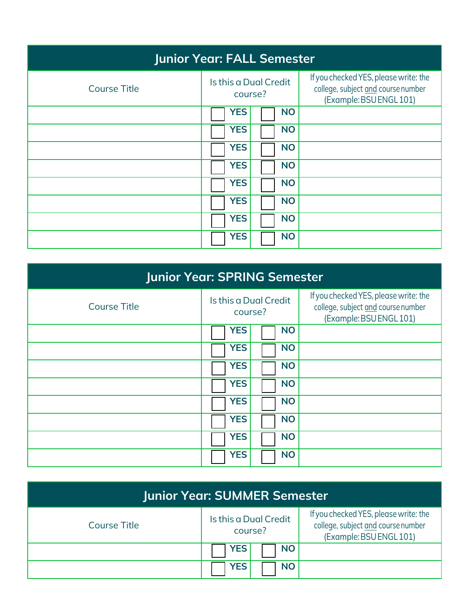| <b>Junior Year: FALL Semester</b> |                                  |                                                                                                        |  |  |
|-----------------------------------|----------------------------------|--------------------------------------------------------------------------------------------------------|--|--|
| <b>Course Title</b>               | Is this a Dual Credit<br>course? | If you checked YES, please write: the<br>college, subject and course number<br>(Example: BSU ENGL 101) |  |  |
|                                   | <b>YES</b><br><b>NO</b>          |                                                                                                        |  |  |
|                                   | <b>YES</b><br><b>NO</b>          |                                                                                                        |  |  |
|                                   | <b>YES</b><br><b>NO</b>          |                                                                                                        |  |  |
|                                   | <b>YES</b><br><b>NO</b>          |                                                                                                        |  |  |
|                                   | <b>YES</b><br><b>NO</b>          |                                                                                                        |  |  |
|                                   | <b>YES</b><br><b>NO</b>          |                                                                                                        |  |  |
|                                   | <b>YES</b><br><b>NO</b>          |                                                                                                        |  |  |
|                                   | <b>YES</b><br><b>NO</b>          |                                                                                                        |  |  |

| <b>Junior Year: SPRING Semester</b> |                                  |                                                                                                        |  |  |
|-------------------------------------|----------------------------------|--------------------------------------------------------------------------------------------------------|--|--|
| <b>Course Title</b>                 | Is this a Dual Credit<br>course? | If you checked YES, please write: the<br>college, subject and course number<br>(Example: BSU ENGL 101) |  |  |
|                                     | <b>YES</b><br><b>NO</b>          |                                                                                                        |  |  |
|                                     | <b>YES</b><br><b>NO</b>          |                                                                                                        |  |  |
|                                     | <b>YES</b><br><b>NO</b>          |                                                                                                        |  |  |
|                                     | <b>YES</b><br><b>NO</b>          |                                                                                                        |  |  |
|                                     | <b>YES</b><br><b>NO</b>          |                                                                                                        |  |  |
|                                     | <b>YES</b><br><b>NO</b>          |                                                                                                        |  |  |
|                                     | <b>YES</b><br><b>NO</b>          |                                                                                                        |  |  |
|                                     | <b>YES</b><br><b>NO</b>          |                                                                                                        |  |  |

| <b>Junior Year: SUMMER Semester</b> |                                  |                                                                                                        |  |  |
|-------------------------------------|----------------------------------|--------------------------------------------------------------------------------------------------------|--|--|
| <b>Course Title</b>                 | Is this a Dual Credit<br>course? | If you checked YES, please write: the<br>college, subject and course number<br>(Example: BSU ENGL 101) |  |  |
|                                     | <b>NO</b><br><b>YES</b>          |                                                                                                        |  |  |
|                                     | <b>YES</b><br><b>NO</b>          |                                                                                                        |  |  |